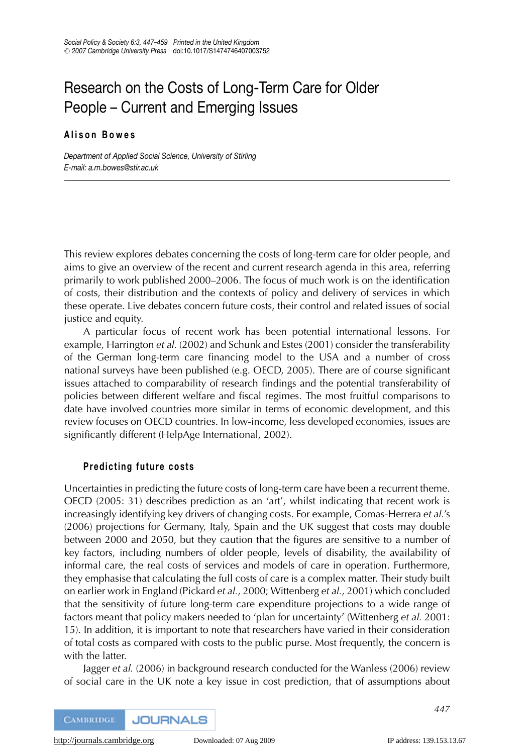# Research on the Costs of Long-Term Care for Older People – Current and Emerging Issues

# **Alison Bowes**

*Department of Applied Social Science, University of Stirling E-mail: a.m.bowes@stir.ac.uk*

This review explores debates concerning the costs of long-term care for older people, and aims to give an overview of the recent and current research agenda in this area, referring primarily to work published 2000–2006. The focus of much work is on the identification of costs, their distribution and the contexts of policy and delivery of services in which these operate. Live debates concern future costs, their control and related issues of social justice and equity.

A particular focus of recent work has been potential international lessons. For example, Harrington *et al.* (2002) and Schunk and Estes (2001) consider the transferability of the German long-term care financing model to the USA and a number of cross national surveys have been published (e.g. OECD, 2005). There are of course significant issues attached to comparability of research findings and the potential transferability of policies between different welfare and fiscal regimes. The most fruitful comparisons to date have involved countries more similar in terms of economic development, and this review focuses on OECD countries. In low-income, less developed economies, issues are significantly different (HelpAge International, 2002).

# **Predicting future costs**

Uncertainties in predicting the future costs of long-term care have been a recurrent theme. OECD (2005: 31) describes prediction as an 'art', whilst indicating that recent work is increasingly identifying key drivers of changing costs. For example, Comas-Herrera *et al.*'s (2006) projections for Germany, Italy, Spain and the UK suggest that costs may double between 2000 and 2050, but they caution that the figures are sensitive to a number of key factors, including numbers of older people, levels of disability, the availability of informal care, the real costs of services and models of care in operation. Furthermore, they emphasise that calculating the full costs of care is a complex matter. Their study built on earlier work in England (Pickard *et al.*, 2000; Wittenberg *et al.*, 2001) which concluded that the sensitivity of future long-term care expenditure projections to a wide range of factors meant that policy makers needed to 'plan for uncertainty' (Wittenberg *et al.* 2001: 15). In addition, it is important to note that researchers have varied in their consideration of total costs as compared with costs to the public purse. Most frequently, the concern is with the latter.

Jagger *et al.* (2006) in background research conducted for the Wanless (2006) review of social care in the UK note a key issue in cost prediction, that of assumptions about

**CAMBRIDGE JOURNALS**  *447*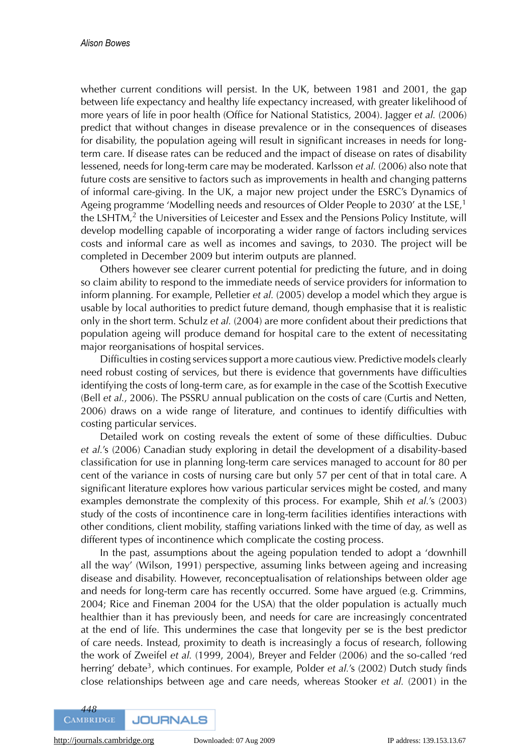whether current conditions will persist. In the UK, between 1981 and 2001, the gap between life expectancy and healthy life expectancy increased, with greater likelihood of more years of life in poor health (Office for National Statistics, 2004). Jagger *et al.* (2006) predict that without changes in disease prevalence or in the consequences of diseases for disability, the population ageing will result in significant increases in needs for longterm care. If disease rates can be reduced and the impact of disease on rates of disability lessened, needs for long-term care may be moderated. Karlsson *et al.* (2006) also note that future costs are sensitive to factors such as improvements in health and changing patterns of informal care-giving. In the UK, a major new project under the ESRC's Dynamics of Ageing programme 'Modelling needs and resources of Older People to 2030' at the LSE, $<sup>1</sup>$ </sup> the LSHTM,<sup>2</sup> the Universities of Leicester and Essex and the Pensions Policy Institute, will develop modelling capable of incorporating a wider range of factors including services costs and informal care as well as incomes and savings, to 2030. The project will be completed in December 2009 but interim outputs are planned.

Others however see clearer current potential for predicting the future, and in doing so claim ability to respond to the immediate needs of service providers for information to inform planning. For example, Pelletier *et al.* (2005) develop a model which they argue is usable by local authorities to predict future demand, though emphasise that it is realistic only in the short term. Schulz *et al.* (2004) are more confident about their predictions that population ageing will produce demand for hospital care to the extent of necessitating major reorganisations of hospital services.

Difficulties in costing services support a more cautious view. Predictive models clearly need robust costing of services, but there is evidence that governments have difficulties identifying the costs of long-term care, as for example in the case of the Scottish Executive (Bell *et al.*, 2006). The PSSRU annual publication on the costs of care (Curtis and Netten, 2006) draws on a wide range of literature, and continues to identify difficulties with costing particular services.

Detailed work on costing reveals the extent of some of these difficulties. Dubuc *et al.*'s (2006) Canadian study exploring in detail the development of a disability-based classification for use in planning long-term care services managed to account for 80 per cent of the variance in costs of nursing care but only 57 per cent of that in total care. A significant literature explores how various particular services might be costed, and many examples demonstrate the complexity of this process. For example, Shih *et al.*'s (2003) study of the costs of incontinence care in long-term facilities identifies interactions with other conditions, client mobility, staffing variations linked with the time of day, as well as different types of incontinence which complicate the costing process.

In the past, assumptions about the ageing population tended to adopt a 'downhill all the way' (Wilson, 1991) perspective, assuming links between ageing and increasing disease and disability. However, reconceptualisation of relationships between older age and needs for long-term care has recently occurred. Some have argued (e.g. Crimmins, 2004; Rice and Fineman 2004 for the USA) that the older population is actually much healthier than it has previously been, and needs for care are increasingly concentrated at the end of life. This undermines the case that longevity per se is the best predictor of care needs. Instead, proximity to death is increasingly a focus of research, following the work of Zweifel *et al.* (1999, 2004), Breyer and Felder (2006) and the so-called 'red herring' debate<sup>3</sup>, which continues. For example, Polder *et al.'s* (2002) Dutch study finds close relationships between age and care needs, whereas Stooker *et al.* (2001) in the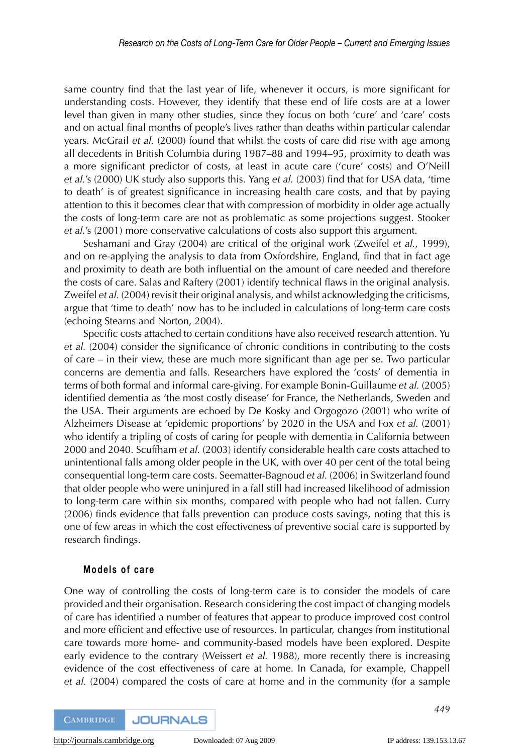same country find that the last year of life, whenever it occurs, is more significant for understanding costs. However, they identify that these end of life costs are at a lower level than given in many other studies, since they focus on both 'cure' and 'care' costs and on actual final months of people's lives rather than deaths within particular calendar years. McGrail *et al.* (2000) found that whilst the costs of care did rise with age among all decedents in British Columbia during 1987–88 and 1994–95, proximity to death was a more significant predictor of costs, at least in acute care ('cure' costs) and O'Neill *et al.*'s (2000) UK study also supports this. Yang *et al.* (2003) find that for USA data, 'time to death' is of greatest significance in increasing health care costs, and that by paying attention to this it becomes clear that with compression of morbidity in older age actually the costs of long-term care are not as problematic as some projections suggest. Stooker *et al.*'s (2001) more conservative calculations of costs also support this argument.

Seshamani and Gray (2004) are critical of the original work (Zweifel *et al.*, 1999), and on re-applying the analysis to data from Oxfordshire, England, find that in fact age and proximity to death are both influential on the amount of care needed and therefore the costs of care. Salas and Raftery (2001) identify technical flaws in the original analysis. Zweifel *et al.* (2004) revisit their original analysis, and whilst acknowledging the criticisms, argue that 'time to death' now has to be included in calculations of long-term care costs (echoing Stearns and Norton, 2004).

Specific costs attached to certain conditions have also received research attention. Yu *et al.* (2004) consider the significance of chronic conditions in contributing to the costs of care – in their view, these are much more significant than age per se. Two particular concerns are dementia and falls. Researchers have explored the 'costs' of dementia in terms of both formal and informal care-giving. For example Bonin-Guillaume *et al.* (2005) identified dementia as 'the most costly disease' for France, the Netherlands, Sweden and the USA. Their arguments are echoed by De Kosky and Orgogozo (2001) who write of Alzheimers Disease at 'epidemic proportions' by 2020 in the USA and Fox *et al.* (2001) who identify a tripling of costs of caring for people with dementia in California between 2000 and 2040. Scuffham *et al.* (2003) identify considerable health care costs attached to unintentional falls among older people in the UK, with over 40 per cent of the total being consequential long-term care costs. Seematter-Bagnoud *et al.* (2006) in Switzerland found that older people who were uninjured in a fall still had increased likelihood of admission to long-term care within six months, compared with people who had not fallen. Curry (2006) finds evidence that falls prevention can produce costs savings, noting that this is one of few areas in which the cost effectiveness of preventive social care is supported by research findings.

# **Models of care**

One way of controlling the costs of long-term care is to consider the models of care provided and their organisation. Research considering the cost impact of changing models of care has identified a number of features that appear to produce improved cost control and more efficient and effective use of resources. In particular, changes from institutional care towards more home- and community-based models have been explored. Despite early evidence to the contrary (Weissert *et al.* 1988), more recently there is increasing evidence of the cost effectiveness of care at home. In Canada, for example, Chappell *et al.* (2004) compared the costs of care at home and in the community (for a sample

*449*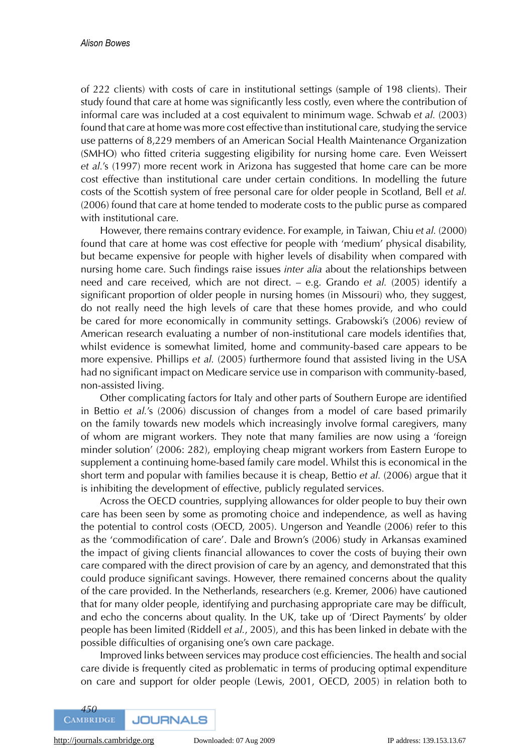of 222 clients) with costs of care in institutional settings (sample of 198 clients). Their study found that care at home was significantly less costly, even where the contribution of informal care was included at a cost equivalent to minimum wage. Schwab *et al.* (2003) found that care at home was more cost effective than institutional care, studying the service use patterns of 8,229 members of an American Social Health Maintenance Organization (SMHO) who fitted criteria suggesting eligibility for nursing home care. Even Weissert *et al.*'s (1997) more recent work in Arizona has suggested that home care can be more cost effective than institutional care under certain conditions. In modelling the future costs of the Scottish system of free personal care for older people in Scotland, Bell *et al.* (2006) found that care at home tended to moderate costs to the public purse as compared with institutional care.

However, there remains contrary evidence. For example, in Taiwan, Chiu *et al.* (2000) found that care at home was cost effective for people with 'medium' physical disability, but became expensive for people with higher levels of disability when compared with nursing home care. Such findings raise issues *inter alia* about the relationships between need and care received, which are not direct. – e.g. Grando *et al.* (2005) identify a significant proportion of older people in nursing homes (in Missouri) who, they suggest, do not really need the high levels of care that these homes provide, and who could be cared for more economically in community settings. Grabowski's (2006) review of American research evaluating a number of non-institutional care models identifies that, whilst evidence is somewhat limited, home and community-based care appears to be more expensive. Phillips *et al.* (2005) furthermore found that assisted living in the USA had no significant impact on Medicare service use in comparison with community-based, non-assisted living.

Other complicating factors for Italy and other parts of Southern Europe are identified in Bettio *et al.*'s (2006) discussion of changes from a model of care based primarily on the family towards new models which increasingly involve formal caregivers, many of whom are migrant workers. They note that many families are now using a 'foreign minder solution' (2006: 282), employing cheap migrant workers from Eastern Europe to supplement a continuing home-based family care model. Whilst this is economical in the short term and popular with families because it is cheap, Bettio *et al.* (2006) argue that it is inhibiting the development of effective, publicly regulated services.

Across the OECD countries, supplying allowances for older people to buy their own care has been seen by some as promoting choice and independence, as well as having the potential to control costs (OECD, 2005). Ungerson and Yeandle (2006) refer to this as the 'commodification of care'. Dale and Brown's (2006) study in Arkansas examined the impact of giving clients financial allowances to cover the costs of buying their own care compared with the direct provision of care by an agency, and demonstrated that this could produce significant savings. However, there remained concerns about the quality of the care provided. In the Netherlands, researchers (e.g. Kremer, 2006) have cautioned that for many older people, identifying and purchasing appropriate care may be difficult, and echo the concerns about quality. In the UK, take up of 'Direct Payments' by older people has been limited (Riddell *et al.*, 2005), and this has been linked in debate with the possible difficulties of organising one's own care package.

Improved links between services may produce cost efficiencies. The health and social care divide is frequently cited as problematic in terms of producing optimal expenditure on care and support for older people (Lewis, 2001, OECD, 2005) in relation both to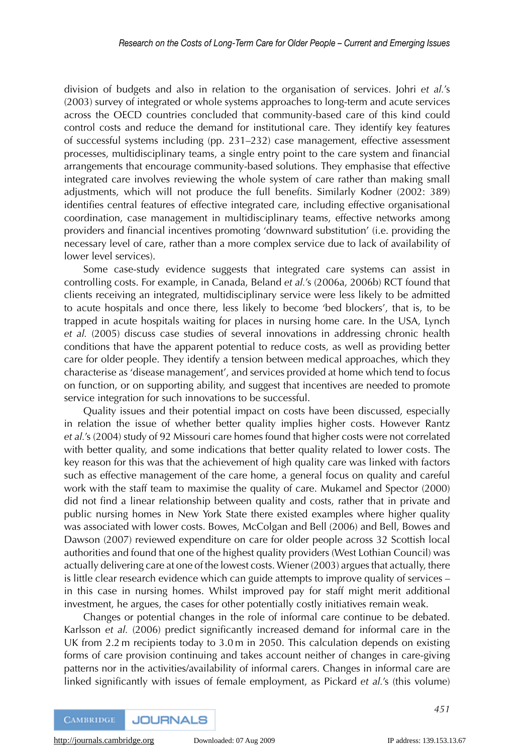division of budgets and also in relation to the organisation of services. Johri *et al.*'s (2003) survey of integrated or whole systems approaches to long-term and acute services across the OECD countries concluded that community-based care of this kind could control costs and reduce the demand for institutional care. They identify key features of successful systems including (pp. 231–232) case management, effective assessment processes, multidisciplinary teams, a single entry point to the care system and financial arrangements that encourage community-based solutions. They emphasise that effective integrated care involves reviewing the whole system of care rather than making small adjustments, which will not produce the full benefits. Similarly Kodner (2002: 389) identifies central features of effective integrated care, including effective organisational coordination, case management in multidisciplinary teams, effective networks among providers and financial incentives promoting 'downward substitution' (i.e. providing the necessary level of care, rather than a more complex service due to lack of availability of lower level services).

Some case-study evidence suggests that integrated care systems can assist in controlling costs. For example, in Canada, Beland *et al.*'s (2006a, 2006b) RCT found that clients receiving an integrated, multidisciplinary service were less likely to be admitted to acute hospitals and once there, less likely to become 'bed blockers', that is, to be trapped in acute hospitals waiting for places in nursing home care. In the USA, Lynch *et al.* (2005) discuss case studies of several innovations in addressing chronic health conditions that have the apparent potential to reduce costs, as well as providing better care for older people. They identify a tension between medical approaches, which they characterise as 'disease management', and services provided at home which tend to focus on function, or on supporting ability, and suggest that incentives are needed to promote service integration for such innovations to be successful.

Quality issues and their potential impact on costs have been discussed, especially in relation the issue of whether better quality implies higher costs. However Rantz *et al.*'s (2004) study of 92 Missouri care homes found that higher costs were not correlated with better quality, and some indications that better quality related to lower costs. The key reason for this was that the achievement of high quality care was linked with factors such as effective management of the care home, a general focus on quality and careful work with the staff team to maximise the quality of care. Mukamel and Spector (2000) did not find a linear relationship between quality and costs, rather that in private and public nursing homes in New York State there existed examples where higher quality was associated with lower costs. Bowes, McColgan and Bell (2006) and Bell, Bowes and Dawson (2007) reviewed expenditure on care for older people across 32 Scottish local authorities and found that one of the highest quality providers (West Lothian Council) was actually delivering care at one of the lowest costs. Wiener (2003) argues that actually, there is little clear research evidence which can guide attempts to improve quality of services – in this case in nursing homes. Whilst improved pay for staff might merit additional investment, he argues, the cases for other potentially costly initiatives remain weak.

Changes or potential changes in the role of informal care continue to be debated. Karlsson *et al.* (2006) predict significantly increased demand for informal care in the UK from 2.2 m recipients today to 3.0 m in 2050. This calculation depends on existing forms of care provision continuing and takes account neither of changes in care-giving patterns nor in the activities/availability of informal carers. Changes in informal care are linked significantly with issues of female employment, as Pickard *et al.*'s (this volume)

<http://journals.cambridge.org> Downloaded: 07 Aug 2009 IP address: 139.153.13.67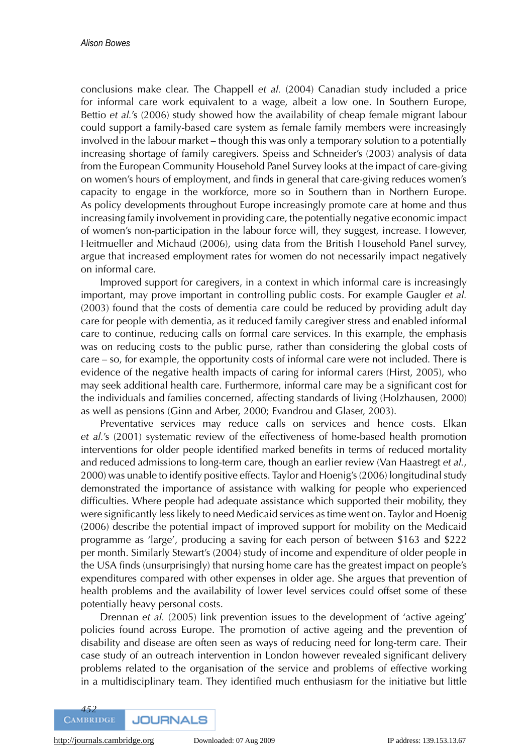conclusions make clear. The Chappell *et al.* (2004) Canadian study included a price for informal care work equivalent to a wage, albeit a low one. In Southern Europe, Bettio *et al.*'s (2006) study showed how the availability of cheap female migrant labour could support a family-based care system as female family members were increasingly involved in the labour market – though this was only a temporary solution to a potentially increasing shortage of family caregivers. Speiss and Schneider's (2003) analysis of data from the European Community Household Panel Survey looks at the impact of care-giving on women's hours of employment, and finds in general that care-giving reduces women's capacity to engage in the workforce, more so in Southern than in Northern Europe. As policy developments throughout Europe increasingly promote care at home and thus increasing family involvement in providing care, the potentially negative economic impact of women's non-participation in the labour force will, they suggest, increase. However, Heitmueller and Michaud (2006), using data from the British Household Panel survey, argue that increased employment rates for women do not necessarily impact negatively on informal care.

Improved support for caregivers, in a context in which informal care is increasingly important, may prove important in controlling public costs. For example Gaugler *et al.* (2003) found that the costs of dementia care could be reduced by providing adult day care for people with dementia, as it reduced family caregiver stress and enabled informal care to continue, reducing calls on formal care services. In this example, the emphasis was on reducing costs to the public purse, rather than considering the global costs of care – so, for example, the opportunity costs of informal care were not included. There is evidence of the negative health impacts of caring for informal carers (Hirst, 2005), who may seek additional health care. Furthermore, informal care may be a significant cost for the individuals and families concerned, affecting standards of living (Holzhausen, 2000) as well as pensions (Ginn and Arber, 2000; Evandrou and Glaser, 2003).

Preventative services may reduce calls on services and hence costs. Elkan *et al.*'s (2001) systematic review of the effectiveness of home-based health promotion interventions for older people identified marked benefits in terms of reduced mortality and reduced admissions to long-term care, though an earlier review (Van Haastregt *et al.*, 2000) was unable to identify positive effects. Taylor and Hoenig's (2006) longitudinal study demonstrated the importance of assistance with walking for people who experienced difficulties. Where people had adequate assistance which supported their mobility, they were significantly less likely to need Medicaid services as time went on. Taylor and Hoenig (2006) describe the potential impact of improved support for mobility on the Medicaid programme as 'large', producing a saving for each person of between \$163 and \$222 per month. Similarly Stewart's (2004) study of income and expenditure of older people in the USA finds (unsurprisingly) that nursing home care has the greatest impact on people's expenditures compared with other expenses in older age. She argues that prevention of health problems and the availability of lower level services could offset some of these potentially heavy personal costs.

Drennan *et al.* (2005) link prevention issues to the development of 'active ageing' policies found across Europe. The promotion of active ageing and the prevention of disability and disease are often seen as ways of reducing need for long-term care. Their case study of an outreach intervention in London however revealed significant delivery problems related to the organisation of the service and problems of effective working in a multidisciplinary team. They identified much enthusiasm for the initiative but little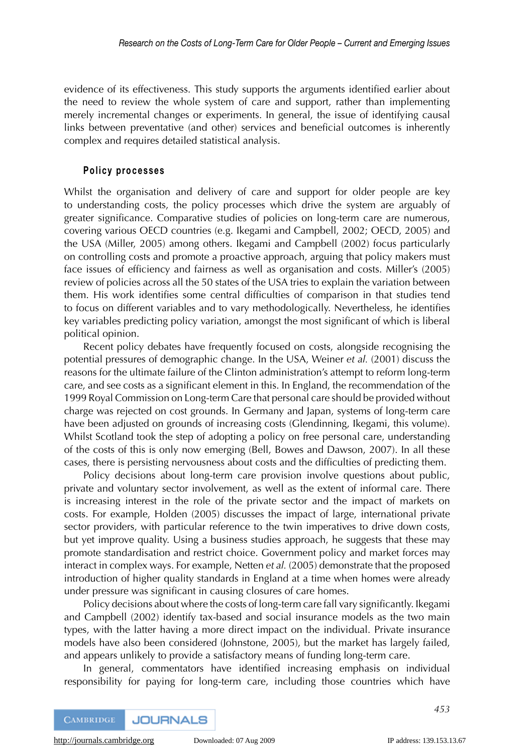evidence of its effectiveness. This study supports the arguments identified earlier about the need to review the whole system of care and support, rather than implementing merely incremental changes or experiments. In general, the issue of identifying causal links between preventative (and other) services and beneficial outcomes is inherently complex and requires detailed statistical analysis.

#### **Policy processes**

Whilst the organisation and delivery of care and support for older people are key to understanding costs, the policy processes which drive the system are arguably of greater significance. Comparative studies of policies on long-term care are numerous, covering various OECD countries (e.g. Ikegami and Campbell, 2002; OECD, 2005) and the USA (Miller, 2005) among others. Ikegami and Campbell (2002) focus particularly on controlling costs and promote a proactive approach, arguing that policy makers must face issues of efficiency and fairness as well as organisation and costs. Miller's (2005) review of policies across all the 50 states of the USA tries to explain the variation between them. His work identifies some central difficulties of comparison in that studies tend to focus on different variables and to vary methodologically. Nevertheless, he identifies key variables predicting policy variation, amongst the most significant of which is liberal political opinion.

Recent policy debates have frequently focused on costs, alongside recognising the potential pressures of demographic change. In the USA, Weiner *et al.* (2001) discuss the reasons for the ultimate failure of the Clinton administration's attempt to reform long-term care, and see costs as a significant element in this. In England, the recommendation of the 1999 Royal Commission on Long-term Care that personal care should be provided without charge was rejected on cost grounds. In Germany and Japan, systems of long-term care have been adjusted on grounds of increasing costs (Glendinning, Ikegami, this volume). Whilst Scotland took the step of adopting a policy on free personal care, understanding of the costs of this is only now emerging (Bell, Bowes and Dawson, 2007). In all these cases, there is persisting nervousness about costs and the difficulties of predicting them.

Policy decisions about long-term care provision involve questions about public, private and voluntary sector involvement, as well as the extent of informal care. There is increasing interest in the role of the private sector and the impact of markets on costs. For example, Holden (2005) discusses the impact of large, international private sector providers, with particular reference to the twin imperatives to drive down costs, but yet improve quality. Using a business studies approach, he suggests that these may promote standardisation and restrict choice. Government policy and market forces may interact in complex ways. For example, Netten *et al.* (2005) demonstrate that the proposed introduction of higher quality standards in England at a time when homes were already under pressure was significant in causing closures of care homes.

Policy decisions about where the costs of long-term care fall vary significantly. Ikegami and Campbell (2002) identify tax-based and social insurance models as the two main types, with the latter having a more direct impact on the individual. Private insurance models have also been considered (Johnstone, 2005), but the market has largely failed, and appears unlikely to provide a satisfactory means of funding long-term care.

In general, commentators have identified increasing emphasis on individual responsibility for paying for long-term care, including those countries which have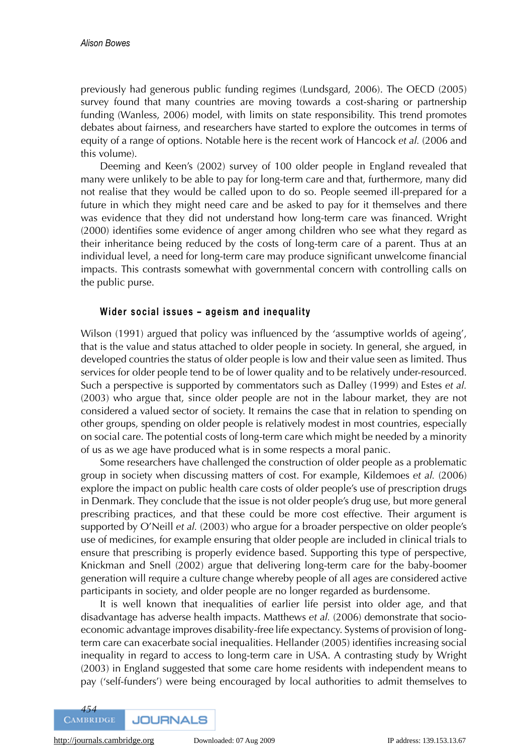previously had generous public funding regimes (Lundsgard, 2006). The OECD (2005) survey found that many countries are moving towards a cost-sharing or partnership funding (Wanless, 2006) model, with limits on state responsibility. This trend promotes debates about fairness, and researchers have started to explore the outcomes in terms of equity of a range of options. Notable here is the recent work of Hancock *et al.* (2006 and this volume).

Deeming and Keen's (2002) survey of 100 older people in England revealed that many were unlikely to be able to pay for long-term care and that, furthermore, many did not realise that they would be called upon to do so. People seemed ill-prepared for a future in which they might need care and be asked to pay for it themselves and there was evidence that they did not understand how long-term care was financed. Wright (2000) identifies some evidence of anger among children who see what they regard as their inheritance being reduced by the costs of long-term care of a parent. Thus at an individual level, a need for long-term care may produce significant unwelcome financial impacts. This contrasts somewhat with governmental concern with controlling calls on the public purse.

# **Wider social issues – ageism and inequality**

Wilson (1991) argued that policy was influenced by the 'assumptive worlds of ageing', that is the value and status attached to older people in society. In general, she argued, in developed countries the status of older people is low and their value seen as limited. Thus services for older people tend to be of lower quality and to be relatively under-resourced. Such a perspective is supported by commentators such as Dalley (1999) and Estes *et al.* (2003) who argue that, since older people are not in the labour market, they are not considered a valued sector of society. It remains the case that in relation to spending on other groups, spending on older people is relatively modest in most countries, especially on social care. The potential costs of long-term care which might be needed by a minority of us as we age have produced what is in some respects a moral panic.

Some researchers have challenged the construction of older people as a problematic group in society when discussing matters of cost. For example, Kildemoes *et al.* (2006) explore the impact on public health care costs of older people's use of prescription drugs in Denmark. They conclude that the issue is not older people's drug use, but more general prescribing practices, and that these could be more cost effective. Their argument is supported by O'Neill *et al.* (2003) who argue for a broader perspective on older people's use of medicines, for example ensuring that older people are included in clinical trials to ensure that prescribing is properly evidence based. Supporting this type of perspective, Knickman and Snell (2002) argue that delivering long-term care for the baby-boomer generation will require a culture change whereby people of all ages are considered active participants in society, and older people are no longer regarded as burdensome.

It is well known that inequalities of earlier life persist into older age, and that disadvantage has adverse health impacts. Matthews *et al.* (2006) demonstrate that socioeconomic advantage improves disability-free life expectancy. Systems of provision of longterm care can exacerbate social inequalities. Hellander (2005) identifies increasing social inequality in regard to access to long-term care in USA. A contrasting study by Wright (2003) in England suggested that some care home residents with independent means to pay ('self-funders') were being encouraged by local authorities to admit themselves to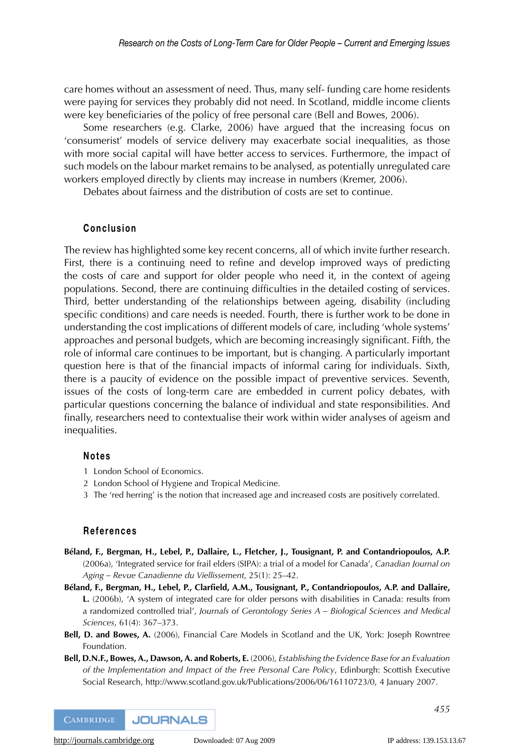care homes without an assessment of need. Thus, many self- funding care home residents were paying for services they probably did not need. In Scotland, middle income clients were key beneficiaries of the policy of free personal care (Bell and Bowes, 2006).

Some researchers (e.g. Clarke, 2006) have argued that the increasing focus on 'consumerist' models of service delivery may exacerbate social inequalities, as those with more social capital will have better access to services. Furthermore, the impact of such models on the labour market remains to be analysed, as potentially unregulated care workers employed directly by clients may increase in numbers (Kremer, 2006).

Debates about fairness and the distribution of costs are set to continue.

# **Conclusion**

The review has highlighted some key recent concerns, all of which invite further research. First, there is a continuing need to refine and develop improved ways of predicting the costs of care and support for older people who need it, in the context of ageing populations. Second, there are continuing difficulties in the detailed costing of services. Third, better understanding of the relationships between ageing, disability (including specific conditions) and care needs is needed. Fourth, there is further work to be done in understanding the cost implications of different models of care, including 'whole systems' approaches and personal budgets, which are becoming increasingly significant. Fifth, the role of informal care continues to be important, but is changing. A particularly important question here is that of the financial impacts of informal caring for individuals. Sixth, there is a paucity of evidence on the possible impact of preventive services. Seventh, issues of the costs of long-term care are embedded in current policy debates, with particular questions concerning the balance of individual and state responsibilities. And finally, researchers need to contextualise their work within wider analyses of ageism and inequalities.

# **Notes**

- 1 London School of Economics.
- 2 London School of Hygiene and Tropical Medicine.
- 3 The 'red herring' is the notion that increased age and increased costs are positively correlated.

# **References**

- **B´eland, F., Bergman, H., Lebel, P., Dallaire, L., Fletcher, J., Tousignant, P. and Contandriopoulos, A.P.** (2006a), 'Integrated service for frail elders (SIPA): a trial of a model for Canada', *Canadian Journal on Aging – Revue Canadienne du Viellissement*, 25(1): 25–42.
- **B´eland, F., Bergman, H., Lebel, P., Clarfield, A.M., Tousignant, P., Contandriopoulos, A.P. and Dallaire, L.** (2006b), 'A system of integrated care for older persons with disabilities in Canada: results from a randomized controlled trial', *Journals of Gerontology Series A – Biological Sciences and Medical Sciences*, 61(4): 367–373.
- **Bell, D. and Bowes, A.** (2006), Financial Care Models in Scotland and the UK, York: Joseph Rowntree Foundation.
- **Bell, D.N.F., Bowes, A., Dawson, A. and Roberts, E.** (2006), *Establishing the Evidence Base for an Evaluation of the Implementation and Impact of the Free Personal Care Policy*, Edinburgh: Scottish Executive Social Research, http://www.scotland.gov.uk/Publications/2006/06/16110723/0, 4 January 2007.

**CAMBRIDGE JOURNALS** 

<http://journals.cambridge.org> Downloaded: 07 Aug 2009 IP address: 139.153.13.67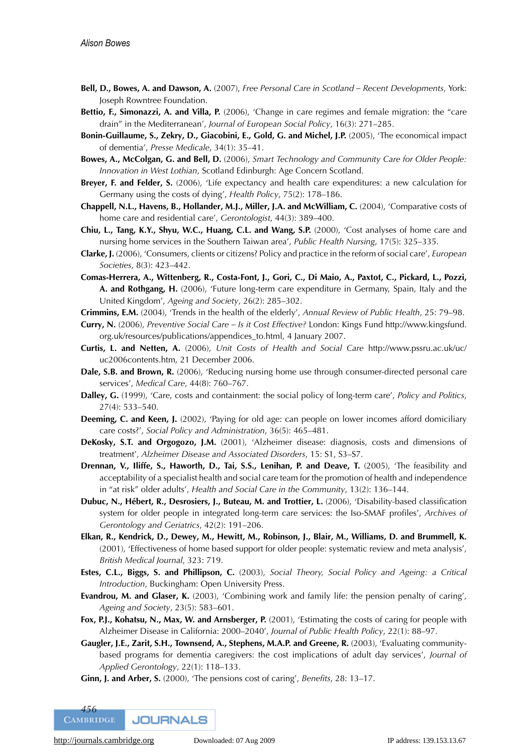- **Bell, D., Bowes, A. and Dawson, A.** (2007), *Free Personal Care in Scotland Recent Developments*, York: Joseph Rowntree Foundation.
- **Bettio, F., Simonazzi, A. and Villa, P.** (2006), 'Change in care regimes and female migration: the "care drain" in the Mediterranean', *Journal of European Social Policy*, 16(3): 271–285.
- **Bonin-Guillaume, S., Zekry, D., Giacobini, E., Gold, G. and Michel, J.P.** (2005), 'The economical impact of dementia', *Presse Medicale*, 34(1): 35–41.
- **Bowes, A., McColgan, G. and Bell, D.** (2006), *Smart Technology and Community Care for Older People: Innovation in West Lothian*, Scotland Edinburgh: Age Concern Scotland.
- **Breyer, F. and Felder, S.** (2006), 'Life expectancy and health care expenditures: a new calculation for Germany using the costs of dying', *Health Policy*, 75(2): 178–186.
- **Chappell, N.L., Havens, B., Hollander, M.J., Miller, J.A. and McWilliam, C.** (2004), 'Comparative costs of home care and residential care', *Gerontologist*, 44(3): 389–400.
- **Chiu, L., Tang, K.Y., Shyu, W.C., Huang, C.L. and Wang, S.P.** (2000), 'Cost analyses of home care and nursing home services in the Southern Taiwan area', *Public Health Nursing*, 17(5): 325–335.
- **Clarke, J.** (2006), 'Consumers, clients or citizens? Policy and practice in the reform of social care', *European Societies*, 8(3): 423–442.
- **Comas-Herrera, A., Wittenberg, R., Costa-Font, J., Gori, C., Di Maio, A., Paxtot, C., Pickard, L., Pozzi, A. and Rothgang, H.** (2006), 'Future long-term care expenditure in Germany, Spain, Italy and the United Kingdom', *Ageing and Society*, 26(2): 285–302.
- **Crimmins, E.M.** (2004), 'Trends in the health of the elderly', *Annual Review of Public Health*, 25: 79–98.
- **Curry, N.** (2006), *Preventive Social Care Is it Cost Effective?* London: Kings Fund http://www.kingsfund. org.uk/resources/publications/appendices\_to.html, 4 January 2007.
- **Curtis, L. and Netten, A.** (2006), *Unit Costs of Health and Social Care* http://www.pssru.ac.uk/uc/ uc2006contents.htm, 21 December 2006.
- **Dale, S.B. and Brown, R.** (2006), 'Reducing nursing home use through consumer-directed personal care services', *Medical Care*, 44(8): 760–767.
- **Dalley, G.** (1999), 'Care, costs and containment: the social policy of long-term care', *Policy and Politics*, 27(4): 533–540.
- **Deeming, C. and Keen, J.** (2002), 'Paying for old age: can people on lower incomes afford domiciliary care costs?', *Social Policy and Administration*, 36(5): 465–481.
- **DeKosky, S.T. and Orgogozo, J.M.** (2001), 'Alzheimer disease: diagnosis, costs and dimensions of treatment', *Alzheimer Disease and Associated Disorders*, 15: S1, S3–S7.
- **Drennan, V., Iliffe, S., Haworth, D., Tai, S.S., Lenihan, P. and Deave, T.** (2005), 'The feasibility and acceptability of a specialist health and social care team for the promotion of health and independence in "at risk" older adults', *Health and Social Care in the Community*, 13(2): 136–144.
- **Dubuc, N., Hébert, R., Desrosiers, J., Buteau, M. and Trottier, L.** (2006), 'Disability-based classification system for older people in integrated long-term care services: the Iso-SMAF profiles', *Archives of Gerontology and Geriatrics*, 42(2): 191–206.
- **Elkan, R., Kendrick, D., Dewey, M., Hewitt, M., Robinson, J., Blair, M., Williams, D. and Brummell, K.** (2001), 'Effectiveness of home based support for older people: systematic review and meta analysis', *British Medical Journal*, 323: 719.
- **Estes, C.L., Biggs, S. and Phillipson, C.** (2003), *Social Theory, Social Policy and Ageing: a Critical Introduction*, Buckingham: Open University Press.
- **Evandrou, M. and Glaser, K.** (2003), 'Combining work and family life: the pension penalty of caring', *Ageing and Society*, 23(5): 583–601.
- **Fox, P.J., Kohatsu, N., Max, W. and Arnsberger, P.** (2001), 'Estimating the costs of caring for people with Alzheimer Disease in California: 2000–2040', *Journal of Public Health Policy*, 22(1): 88–97.
- **Gaugler, J.E., Zarit, S.H., Townsend, A., Stephens, M.A.P. and Greene, R.** (2003), 'Evaluating communitybased programs for dementia caregivers: the cost implications of adult day services', *Journal of Applied Gerontology*, 22(1): 118–133.
- **Ginn, J. and Arber, S.** (2000), 'The pensions cost of caring', *Benefits*, 28: 13–17.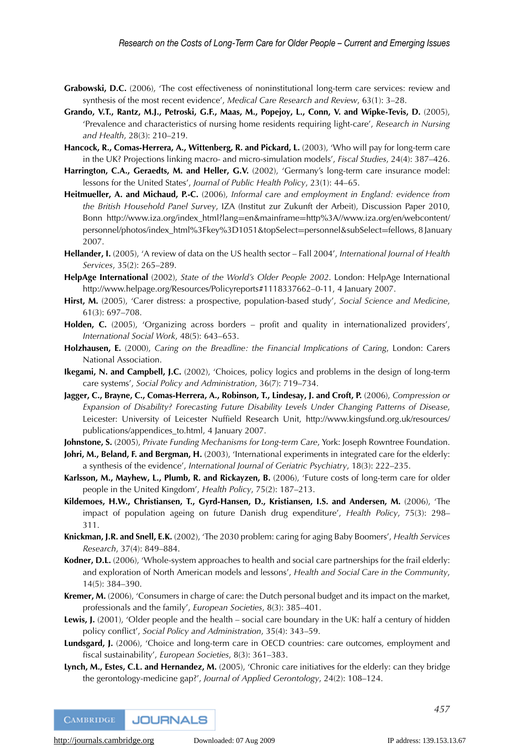- **Grabowski, D.C.** (2006), 'The cost effectiveness of noninstitutional long-term care services: review and synthesis of the most recent evidence', *Medical Care Research and Review*, 63(1): 3–28.
- **Grando, V.T., Rantz, M.J., Petroski, G.F., Maas, M., Popejoy, L., Conn, V. and Wipke-Tevis, D.** (2005), 'Prevalence and characteristics of nursing home residents requiring light-care', *Research in Nursing and Health*, 28(3): 210–219.
- **Hancock, R., Comas-Herrera, A., Wittenberg, R. and Pickard, L.** (2003), 'Who will pay for long-term care in the UK? Projections linking macro- and micro-simulation models', *Fiscal Studies*, 24(4): 387–426.
- **Harrington, C.A., Geraedts, M. and Heller, G.V.** (2002), 'Germany's long-term care insurance model: lessons for the United States', *Journal of Public Health Policy*, 23(1): 44–65.
- **Heitmueller, A. and Michaud, P.-C.** (2006), *Informal care and employment in England: evidence from the British Household Panel Survey*, IZA (Institut zur Zukunft der Arbeit), Discussion Paper 2010, Bonn http://www.iza.org/index\_html?lang=en&mainframe=http%3A//www.iza.org/en/webcontent/ personnel/photos/index\_html%3Fkey%3D1051&topSelect=personnel&subSelect=fellows, 8 January 2007.
- **Hellander, I.** (2005), 'A review of data on the US health sector Fall 2004', *International Journal of Health Services*, 35(2): 265–289.
- **HelpAge International** (2002), *State of the World's Older People 2002*. London: HelpAge International http://www.helpage.org/Resources/Policyreports#1118337662–0-11, 4 January 2007.
- **Hirst, M.** (2005), 'Carer distress: a prospective, population-based study', *Social Science and Medicine*, 61(3): 697–708.
- **Holden, C.** (2005), 'Organizing across borders profit and quality in internationalized providers', *International Social Work*, 48(5): 643–653.
- **Holzhausen, E.** (2000), *Caring on the Breadline: the Financial Implications of Caring*, London: Carers National Association.
- **Ikegami, N. and Campbell, J.C.** (2002), 'Choices, policy logics and problems in the design of long-term care systems', *Social Policy and Administration*, 36(7): 719–734.
- **Jagger, C., Brayne, C., Comas-Herrera, A., Robinson, T., Lindesay, J. and Croft, P.** (2006), *Compression or Expansion of Disability? Forecasting Future Disability Levels Under Changing Patterns of Disease*, Leicester: University of Leicester Nuffield Research Unit, http://www.kingsfund.org.uk/resources/ publications/appendices\_to.html, 4 January 2007.

**Johnstone, S.** (2005), *Private Funding Mechanisms for Long-term Care*, York: Joseph Rowntree Foundation.

- **Johri, M., Beland, F. and Bergman, H.** (2003), 'International experiments in integrated care for the elderly: a synthesis of the evidence', *International Journal of Geriatric Psychiatry*, 18(3): 222–235.
- **Karlsson, M., Mayhew, L., Plumb, R. and Rickayzen, B.** (2006), 'Future costs of long-term care for older people in the United Kingdom', *Health Policy*, 75(2): 187–213.
- **Kildemoes, H.W., Christiansen, T., Gyrd-Hansen, D., Kristiansen, I.S. and Andersen, M.** (2006), 'The impact of population ageing on future Danish drug expenditure', *Health Policy*, 75(3): 298– 311.
- **Knickman, J.R. and Snell, E.K.** (2002), 'The 2030 problem: caring for aging Baby Boomers', *Health Services Research*, 37(4): 849–884.
- **Kodner, D.L.** (2006), 'Whole-system approaches to health and social care partnerships for the frail elderly: and exploration of North American models and lessons', *Health and Social Care in the Community*, 14(5): 384–390.
- **Kremer, M.** (2006), 'Consumers in charge of care: the Dutch personal budget and its impact on the market, professionals and the family', *European Societies*, 8(3): 385–401.
- **Lewis, J.** (2001), 'Older people and the health social care boundary in the UK: half a century of hidden policy conflict', *Social Policy and Administration*, 35(4): 343–59.
- **Lundsgard, J.** (2006), 'Choice and long-term care in OECD countries: care outcomes, employment and fiscal sustainability', *European Societies*, 8(3): 361–383.
- **Lynch, M., Estes, C.L. and Hernandez, M.** (2005), 'Chronic care initiatives for the elderly: can they bridge the gerontology-medicine gap?', *Journal of Applied Gerontology*, 24(2): 108–124.

**CAMBRIDGE JOURNALS** 

<http://journals.cambridge.org> Downloaded: 07 Aug 2009 IP address: 139.153.13.67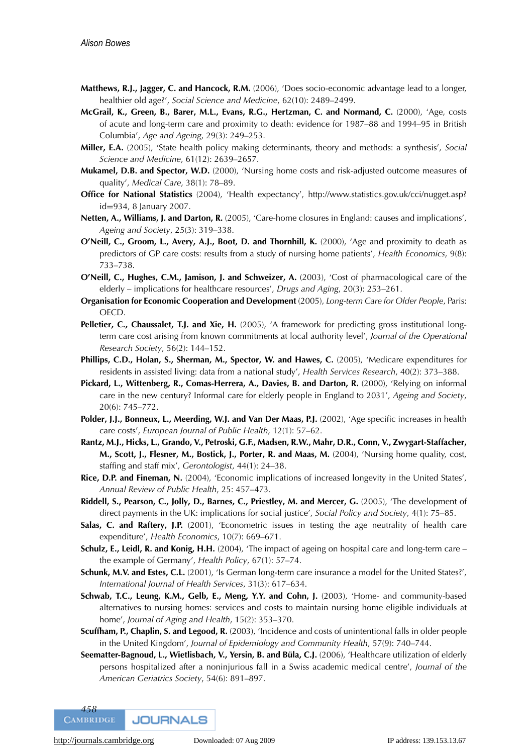- **Matthews, R.J., Jagger, C. and Hancock, R.M.** (2006), 'Does socio-economic advantage lead to a longer, healthier old age?', *Social Science and Medicine*, 62(10): 2489–2499.
- **McGrail, K., Green, B., Barer, M.L., Evans, R.G., Hertzman, C. and Normand, C.** (2000), 'Age, costs of acute and long-term care and proximity to death: evidence for 1987–88 and 1994–95 in British Columbia', *Age and Ageing*, 29(3): 249–253.
- **Miller, E.A.** (2005), 'State health policy making determinants, theory and methods: a synthesis', *Social Science and Medicine*, 61(12): 2639–2657.
- **Mukamel, D.B. and Spector, W.D.** (2000), 'Nursing home costs and risk-adjusted outcome measures of quality', *Medical Care*, 38(1): 78–89.
- **Office for National Statistics** (2004), 'Health expectancy', http://www.statistics.gov.uk/cci/nugget.asp? id=934, 8 January 2007.
- **Netten, A., Williams, J. and Darton, R.** (2005), 'Care-home closures in England: causes and implications', *Ageing and Society*, 25(3): 319–338.
- **O'Neill, C., Groom, L., Avery, A.J., Boot, D. and Thornhill, K.** (2000), 'Age and proximity to death as predictors of GP care costs: results from a study of nursing home patients', *Health Economics*, 9(8): 733–738.
- **O'Neill, C., Hughes, C.M., Jamison, J. and Schweizer, A.** (2003), 'Cost of pharmacological care of the elderly – implications for healthcare resources', *Drugs and Aging*, 20(3): 253–261.
- **Organisation for Economic Cooperation and Development** (2005), *Long-term Care for Older People*, Paris: OECD.
- Pelletier, C., Chaussalet, T.J. and Xie, H. (2005), 'A framework for predicting gross institutional longterm care cost arising from known commitments at local authority level', *Journal of the Operational Research Society*, 56(2): 144–152.
- **Phillips, C.D., Holan, S., Sherman, M., Spector, W. and Hawes, C.** (2005), 'Medicare expenditures for residents in assisted living: data from a national study', *Health Services Research*, 40(2): 373–388.
- **Pickard, L., Wittenberg, R., Comas-Herrera, A., Davies, B. and Darton, R.** (2000), 'Relying on informal care in the new century? Informal care for elderly people in England to 2031', *Ageing and Society*, 20(6): 745–772.
- **Polder, J.J., Bonneux, L., Meerding, W.J. and Van Der Maas, P.J.** (2002), 'Age specific increases in health care costs', *European Journal of Public Health*, 12(1): 57–62.
- **Rantz, M.J., Hicks, L., Grando, V., Petroski, G.F., Madsen, R.W., Mahr, D.R., Conn, V., Zwygart-Staffacher, M., Scott, J., Flesner, M., Bostick, J., Porter, R. and Maas, M.** (2004), 'Nursing home quality, cost, staffing and staff mix', *Gerontologist*, 44(1): 24–38.
- **Rice, D.P. and Fineman, N.** (2004), 'Economic implications of increased longevity in the United States', *Annual Review of Public Health*, 25: 457–473.
- **Riddell, S., Pearson, C., Jolly, D., Barnes, C., Priestley, M. and Mercer, G.** (2005), 'The development of direct payments in the UK: implications for social justice', *Social Policy and Society*, 4(1): 75–85.
- **Salas, C. and Raftery, J.P.** (2001), 'Econometric issues in testing the age neutrality of health care expenditure', *Health Economics*, 10(7): 669–671.
- **Schulz, E., Leidl, R. and Konig, H.H.** (2004), 'The impact of ageing on hospital care and long-term care the example of Germany', *Health Policy*, 67(1): 57–74.
- **Schunk, M.V. and Estes, C.L.** (2001), 'Is German long-term care insurance a model for the United States?', *International Journal of Health Services*, 31(3): 617–634.
- **Schwab, T.C., Leung, K.M., Gelb, E., Meng, Y.Y. and Cohn, J.** (2003), 'Home- and community-based alternatives to nursing homes: services and costs to maintain nursing home eligible individuals at home', *Journal of Aging and Health*, 15(2): 353–370.
- **Scuffham, P., Chaplin, S. and Legood, R.** (2003), 'Incidence and costs of unintentional falls in older people in the United Kingdom', *Journal of Epidemiology and Community Health*, 57(9): 740–744.
- Seematter-Bagnoud, L., Wietlisbach, V., Yersin, B. and Büla, C.J. (2006), 'Healthcare utilization of elderly persons hospitalized after a noninjurious fall in a Swiss academic medical centre', *Journal of the American Geriatrics Society*, 54(6): 891–897.